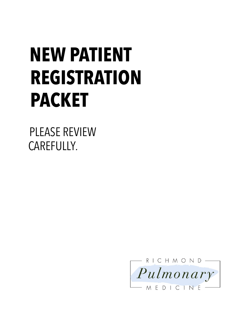# **NEW PATIENT REGISTRATION PACKET**

PLEASE REVIEW CAREFULLY*.*

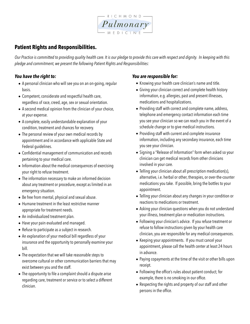

## **Patient Rights and Responsibilities.**

*Our Practice is committed to providing quality health care. It is our pledge to provide this care with respect and dignity. In keeping with this pledge and commitment, we present the following Patient Rights and Responsibilities:*

## *You have the right to:*

- A personal clinician who will see you on an on-going, regular basis.
- Competent, considerate and respectful health care, regardless of race, creed, age, sex or sexual orientation.
- A second medical opinion from the clinician of your choice, at your expense.
- A complete, easily understandable explanation of your condition, treatment and chances for recovery.
- The personal review of your own medical records by appointment and in accordance with applicable State and Federal guidelines.
- Confidential management of communication and records pertaining to your medical care.
- Information about the medical consequences of exercising your right to refuse treatment.
- The information necessary to make an informed decision about any treatment or procedure, except as limited in an emergency situation.
- Be free from mental, physical and sexual abuse.
- Humane treatment in the least restrictive manner appropriate for treatment needs.
- An individualized treatment plan.
- Have your pain evaluated and managed.
- Refuse to participate as a subject in research.
- An explanation of your medical bill regardless of your insurance and the opportunity to personally examine your bill.
- The expectation that we will take reasonable steps to overcome cultural or other communication barriers that may exist between you and the staff.
- The opportunity to file a complaint should a dispute arise regarding care, treatment or service or to select a different clinician.

## *You are responsible for:*

- Knowing your health care clinician's name and title.
- Giving your clinician correct and complete health history information, e.g. allergies, past and present illnesses, medications and hospitalizations.
- Providing staff with correct and complete name, address, telephone and emergency contact information each time you see your clinician so we can reach you in the event of a schedule change or to give medical instructions.
- Providing staff with current and complete insurance information, including any secondary insurance, each time you see your clinician.
- Signing a "Release of Information" form when asked so your clinician can get medical records from other clinicians involved in your care.
- Telling your clinician about all prescription medication(s), alternative, i.e. herbal or other, therapies, or over-the-counter medications you take. If possible, bring the bottles to your appointment.
- Telling your clinician about any changes in your condition or reactions to medications or treatment.
- Asking your clinician questions when you do not understand your illness, treatment plan or medication instructions.
- Following your clinician's advice. If you refuse treatment or refuse to follow instructions given by your health care clinician, you are responsible for any medical consequences.
- Keeping your appointments. If you must cancel your appointment, please call the health center at least 24 hours in advance.
- Paying copayments at the time of the visit or other bills upon receipt.
- Following the office's rules about patient conduct; for example, there is no smoking in our office.
- Respecting the rights and property of our staff and other persons in the office.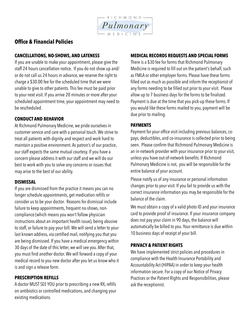

## **Office & Financial Policies**

## **CANCELLATIONS, NO-SHOWS, AND LATENESS**

If you are unable to make your appointment, please give the staff 24 hours cancellation notice. If you do not show up and/ or do not call us 24 hours in advance, we reserve the right to charge a \$30.00 fee for the scheduled time that we were unable to give to other patients. This fee must be paid prior to your next visit. If you arrive 20 minutes or more after your scheduled appointment time, your appointment may need to be rescheduled.

## **CONDUCT AND BEHAVIOR**

At Richmond Pulmonary Medicine, we pride ourselves in customer service and care with a personal touch. We strive to treat all patients with dignity and respect and work hard to maintain a positive environment. As patron's of our practice, our staff expects the same mutual courtesy. If you have a concern please address it with our staff and we will do our best to work with you to solve any concerns or issues that may arise to the best of our ability.

## **DISMISSAL**

If you are dismissed from the practice it means you can no longer schedule appointments, get medication refills or consider us to be your doctor. Reasons for dismissal include failure to keep appointments, frequent no-shows, noncompliance (which means you won't follow physician instructions about an important health issue), being abusive to staff, or failure to pay your bill. We will send a letter to your last known address, via certified mail, notifying you that you are being dismissed. If you have a medical emergency within 30 days of the date of this letter, we will see you. After that, you must find another doctor. We will forward a copy of your medical record to you new doctor after you let us know who it is and sign a release form.

## **PRESCRIPTION REFILLS**

A doctor MUST SEE YOU prior to prescribing a new RX, refills on antibiotics or controlled medications, and changing your existing medications.

## **MEDICAL RECORDS REQUESTS AND SPECIAL FORMS**

There is a \$30 fee for forms that Richmond Pulmonary Medicine is required to fill out on the patient's behalf, such as FMLA or other employer forms. Please have these forms filled out as much as possible and inform the receptionist of any forms needing to be filled out prior to your visit. Please allow up to 7 business days for the forms to be finalized. Payment is due at the time that you pick-up these forms. If you would like these forms mailed to you, payment will be due prior to mailing.

## **PAYMENTS**

Payment for your office visit including previous balances, copays, deductibles, and co-insurance is collected prior to being seen. Please confirm that Richmond Pulmonary Medicine is an in-network provider with your insurance prior to your visit, unless you have out-of-network benefits. If Richmond Pulmonary Medicine is not, you will be responsible for the entire balance of your account.

Please notify us of any insurance or personal information changes prior to your visit. If you fail to provide us with the correct insurance information you may be responsible for the balance of the claim.

We must obtain a copy of a valid photo ID and your insurance card to provide proof of insurance. If your insurance company does not pay your claim in 90 days, the balance will automatically be billed to you. Your remittance is due within 10 business days of receipt of your bill.

## **PRIVACY & PATIENT RIGHTS**

We have implemented strict policies and procedures in compliance with the Health Insurance Portability and Accountability Act (HIPAA) in order to keep your health information secure. For a copy of our Notice of Privacy Practices or the Patient Rights and Responsibilities, please ask the receptionist.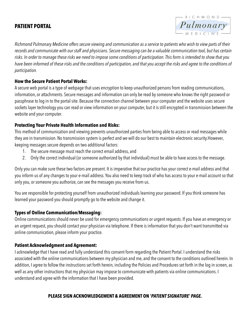## **PATIENT PORTAL**



*Richmond Pulmonary Medicine offers secure viewing and communication as a service to patients who wish to view parts of their records and communicate with our staff and physicians. Secure messaging can be a valuable communication tool, but has certain risks. In order to manage these risks we need to impose some conditions of participation. This form is intended to show that you have been informed of these risks and the conditions of participation, and that you accept the risks and agree to the conditions of participation.* 

## **How the Secure Patient Portal Works:**

A secure web portal is a type of webpage that uses encryption to keep unauthorized persons from reading communications, information, or attachments. Secure messages and information can only be read by someone who knows the right password or passphrase to log in to the portal site. Because the connection channel between your computer and the website uses secure sockets layer technology you can read or view information on your computer, but it is still encrypted in transmission between the website and your computer.

## **Protecting Your Private Health Information and Risks:**

This method of communication and viewing prevents unauthorized parties from being able to access or read messages while they are in transmission. No transmission system is perfect and we will do our best to maintain electronic security.However, keeping messages secure depends on two additional factors:

- 1. The secure message must reach the correct email address, and
- 2. Only the correct individual (or someone authorized by that individual) must be able to have access to the message.

Only you can make sure these two factors are present. It is imperative that our practice has your correct e-mail address and that you inform us of any changes to your e-mail address. You also need to keep track of who has access to your e-mail account so that only you, or someone you authorize, can see the messages you receive from us.

You are responsible for protecting yourself from unauthorized individuals learning your password. If you think someone has learned your password you should promptly go to the website and change it.

## **Types of Online Communication/Messaging:**

Online communications should never be used for emergency communications or urgent requests. If you have an emergency or an urgent request, you should contact your physician via telephone. If there is information that you don't want transmitted via online communication, please inform your practice.

## **Patient Acknowledgment and Agreement:**

I acknowledge that I have read and fully understand this consent form regarding the Patient Portal. I understand the risks associated with the online communications between my physician and me, and the consent to the conditions outlined herein. In addition, I agree to follow the instructions set forth herein, including the Policies and Procedures set forth in the log in screen, as well as any other instructions that my physician may impose to communicate with patients via online communications. I understand and agree with the information that I have been provided.

## **PLEASE SIGN ACKNOWLEDGEMENT & AGREEMENT ON '***PATIENT SIGNATURE' PAGE.*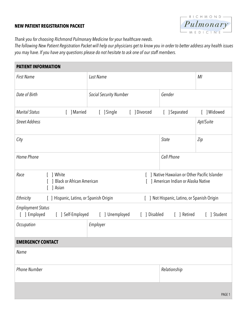#### **NEW PATIENT REGISTRATION PACKET**



*Thank you for choosing Richmond Pulmonary Medicine for your healthcare needs.* 

*The following New Patient Registration Packet will help our physicians get to know you in order to better address any health issues you may have. If you have any questions please do not hesitate to ask one of our staff members.*

| <b>PATIENT INFORMATION</b>                                                                                                                                            |                                                  |              |                |
|-----------------------------------------------------------------------------------------------------------------------------------------------------------------------|--------------------------------------------------|--------------|----------------|
| <b>First Name</b>                                                                                                                                                     | Last Name                                        |              | M <sub>l</sub> |
| Date of Birth                                                                                                                                                         | <b>Social Security Number</b>                    | Gender       |                |
| <b>Marital Status</b><br>[ ] Married                                                                                                                                  | [ ] Single<br>[ ] Divorced                       | ] Separated  | [ ] Widowed    |
| <b>Street Address</b>                                                                                                                                                 |                                                  |              | Apt/Suite      |
| City                                                                                                                                                                  |                                                  | State        | Zip            |
| Home Phone                                                                                                                                                            |                                                  | Cell Phone   |                |
| [ ] White<br>1 Native Hawaiian or Other Pacific Islander<br>Race<br><b>Black or African American</b><br>] American Indian or Alaska Native<br>$\mathbf{L}$<br>] Asian |                                                  |              |                |
| Ethnicity<br>[ ] Hispanic, Latino, or Spanish Origin<br>[ ] Not Hispanic, Latino, or Spanish Origin                                                                   |                                                  |              |                |
| <b>Employment Status</b><br>[ ] Employed                                                                                                                              | [ ] Self-Employed [ ] Unemployed<br>[ ] Disabled | [ ] Retired  | [ ] Student    |
| Occupation                                                                                                                                                            | Employer                                         |              |                |
| <b>EMERGENCY CONTACT</b>                                                                                                                                              |                                                  |              |                |
| Name                                                                                                                                                                  |                                                  |              |                |
| <b>Phone Number</b>                                                                                                                                                   |                                                  | Relationship |                |
|                                                                                                                                                                       |                                                  |              |                |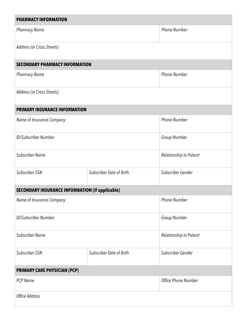| <b>PHARMACY INFORMATION</b>                            |                                 |                         |  |
|--------------------------------------------------------|---------------------------------|-------------------------|--|
| <b>Pharmacy Name</b>                                   |                                 | <b>Phone Number</b>     |  |
| Address (or Cross Streets)                             |                                 |                         |  |
| <b>SECONDARY PHARMACY INFORMATION</b>                  |                                 |                         |  |
| <b>Pharmacy Name</b>                                   |                                 | <b>Phone Number</b>     |  |
| Address (or Cross Streets)                             |                                 |                         |  |
| <b>PRIMARY INSURANCE INFORMATION</b>                   |                                 |                         |  |
| Name of Insurance Company                              |                                 | <b>Phone Number</b>     |  |
| <b>ID/Subscriber Number</b>                            |                                 | Group Number            |  |
| <b>Subscriber Name</b>                                 |                                 | Relationship to Patient |  |
| Subscriber SSN                                         | Subscriber Date of Birth        | Subscriber Gender       |  |
| <b>SECONDARY INSURANCE INFORMATION (if applicable)</b> |                                 |                         |  |
| Name of Insurance Company                              |                                 | <b>Phone Number</b>     |  |
| ID/Subscriber Number                                   |                                 | Group Number            |  |
| <b>Subscriber Name</b>                                 |                                 | Relationship to Patient |  |
| Subscriber SSN                                         | <b>Subscriber Date of Birth</b> | Subscriber Gender       |  |
| <b>PRIMARY CARE PHYSICIAN (PCP)</b>                    |                                 |                         |  |
| <b>PCP Name</b>                                        |                                 | Office Phone Number     |  |
| Office Address                                         |                                 |                         |  |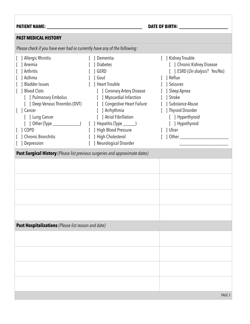## **PATIENT NAME: \_\_\_\_\_\_\_\_\_\_\_\_\_\_\_\_\_\_\_\_\_\_\_\_\_\_\_\_\_\_\_\_\_\_\_\_\_\_\_ DATE OF BIRTH: \_\_\_\_\_\_\_\_\_\_\_\_\_\_\_\_\_\_\_\_**

|  |  | <b>DATE OF BIRTH:</b> |
|--|--|-----------------------|
|--|--|-----------------------|

## **PAST MEDICAL HISTORY**

| Please check if you have ever had or currently have any of the following:                                                                                                                                                                                                                                                                                                                   |                                                                                                                                                                                                                                                                                                                                                 |                                                                                                                                                                                                                                                      |  |
|---------------------------------------------------------------------------------------------------------------------------------------------------------------------------------------------------------------------------------------------------------------------------------------------------------------------------------------------------------------------------------------------|-------------------------------------------------------------------------------------------------------------------------------------------------------------------------------------------------------------------------------------------------------------------------------------------------------------------------------------------------|------------------------------------------------------------------------------------------------------------------------------------------------------------------------------------------------------------------------------------------------------|--|
| [ ] Allergic Rhinitis<br>[ ] Anemia<br>[ ] Arthritis<br>[ ] Asthma<br>[ ] Bladder Issues<br>[ ] Blood Clots<br>[ ] Pulmonary Embolus<br>[ ] Deep Venous Thrombis (DVT)<br>[ ] Cancer<br>[ ] Lung Cancer<br>$[$ ] Other (Type $\qquad$ )<br>$\lceil$   COPD<br>] Chronic Bronchitis<br>[ ] Depression<br><b>Past Surgical History</b> (Please list previous surgeries and approximate dates) | [ ] Dementia<br>[ ] Diabetes<br>$\lceil$ $\rfloor$ GERD<br>  Gout<br>[ ] Heart Trouble<br>[ ] Coronary Artery Disease<br>[ ] Myocardial Infarction<br>[ ] Congestive Heart Failure<br>[ ] Arrhythmia<br>[ ] Atrial Fibrillation<br>[ ] Hepatitis (Type _______)<br>[ ] High Blood Pressure<br>[ ] High Cholesterol<br>[ ] Neurological Disorder | [ ] Kidney Trouble<br>[ ] Chronic Kidney Disease<br>[ ] ESRD (On dialysis? Yes/No)<br>[ ] Reflux<br>[ ] Seizures<br>[ ] Sleep Apnea<br>[ ] Stroke<br>[ ] Substance Abuse<br>[ ] Thyroid Disorder<br>[ ] Hyperthyroid<br>[ ] Hypothyroid<br>[ ] Ulcer |  |
|                                                                                                                                                                                                                                                                                                                                                                                             |                                                                                                                                                                                                                                                                                                                                                 |                                                                                                                                                                                                                                                      |  |
|                                                                                                                                                                                                                                                                                                                                                                                             |                                                                                                                                                                                                                                                                                                                                                 |                                                                                                                                                                                                                                                      |  |
| Past Hospitalizations (Please list reason and date)                                                                                                                                                                                                                                                                                                                                         |                                                                                                                                                                                                                                                                                                                                                 |                                                                                                                                                                                                                                                      |  |
|                                                                                                                                                                                                                                                                                                                                                                                             |                                                                                                                                                                                                                                                                                                                                                 |                                                                                                                                                                                                                                                      |  |
|                                                                                                                                                                                                                                                                                                                                                                                             |                                                                                                                                                                                                                                                                                                                                                 |                                                                                                                                                                                                                                                      |  |
|                                                                                                                                                                                                                                                                                                                                                                                             |                                                                                                                                                                                                                                                                                                                                                 |                                                                                                                                                                                                                                                      |  |
|                                                                                                                                                                                                                                                                                                                                                                                             |                                                                                                                                                                                                                                                                                                                                                 |                                                                                                                                                                                                                                                      |  |
|                                                                                                                                                                                                                                                                                                                                                                                             |                                                                                                                                                                                                                                                                                                                                                 | PAGE 3                                                                                                                                                                                                                                               |  |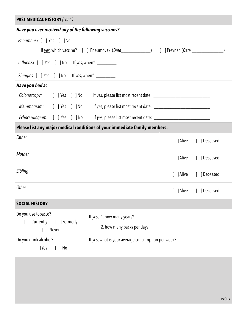| <b>PAST MEDICAL HISTORY (cont.)</b>                               |                                                                                                      |  |  |  |
|-------------------------------------------------------------------|------------------------------------------------------------------------------------------------------|--|--|--|
| Have you ever received any of the following vaccines?             |                                                                                                      |  |  |  |
| Pneumonia: [ ] Yes [ ] No                                         |                                                                                                      |  |  |  |
|                                                                   | If yes, which vaccine? [ ] Pneumovax (Date______________) [ ] Prevnar (Date ______________           |  |  |  |
| Influenza: [ ] Yes [ ] No If yes, when? _________                 |                                                                                                      |  |  |  |
| Shingles: [ ] Yes [ ] No If yes, when? _________                  |                                                                                                      |  |  |  |
| Have you had a:                                                   |                                                                                                      |  |  |  |
|                                                                   | Colonoscopy: [ ] Yes [ ] No If yes, please list most recent date: __________________________________ |  |  |  |
|                                                                   |                                                                                                      |  |  |  |
|                                                                   | Echocardiogram: [ ] Yes [ ] No If yes, please list most recent date: ______________________________  |  |  |  |
|                                                                   | Please list any major medical conditions of your immediate family members:                           |  |  |  |
| Father                                                            | [ ] Deceased<br>[ ] Alive                                                                            |  |  |  |
| Mother                                                            | [ ] Alive [ ] Deceased                                                                               |  |  |  |
| Sibling                                                           | [ ] Alive [ ] Deceased                                                                               |  |  |  |
| Other                                                             | [ ] Deceased<br>] Alive                                                                              |  |  |  |
| <b>SOCIAL HISTORY</b>                                             |                                                                                                      |  |  |  |
| Do you use tobacco?<br>[ ] Currently<br>[ ] Formerly<br>[ ] Never | If yes, 1. how many years?<br>2. how many packs per day?                                             |  |  |  |
| Do you drink alcohol?<br>$[$ ] Yes<br>$[$ ] No                    | If yes, what is your average consumption per week?                                                   |  |  |  |
|                                                                   |                                                                                                      |  |  |  |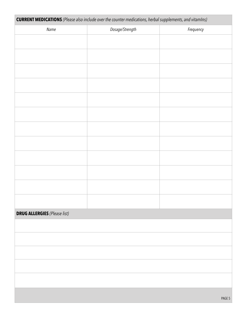| <b>CURRENT MEDICATIONS</b> (Please also include over the counter medications, herbal supplements, and vitamIns) |                 |           |
|-----------------------------------------------------------------------------------------------------------------|-----------------|-----------|
| Name                                                                                                            | Dosage/Strength | Frequency |
|                                                                                                                 |                 |           |
|                                                                                                                 |                 |           |
|                                                                                                                 |                 |           |
|                                                                                                                 |                 |           |
|                                                                                                                 |                 |           |
|                                                                                                                 |                 |           |
|                                                                                                                 |                 |           |
|                                                                                                                 |                 |           |
|                                                                                                                 |                 |           |
|                                                                                                                 |                 |           |
|                                                                                                                 |                 |           |
|                                                                                                                 |                 |           |
|                                                                                                                 |                 |           |
|                                                                                                                 |                 |           |
|                                                                                                                 |                 |           |
| <b>DRUG ALLERGIES</b> (Please list)                                                                             |                 |           |
|                                                                                                                 |                 |           |
|                                                                                                                 |                 |           |
|                                                                                                                 |                 |           |
|                                                                                                                 |                 |           |
|                                                                                                                 |                 |           |
|                                                                                                                 |                 |           |
|                                                                                                                 |                 |           |
|                                                                                                                 |                 | PAGE 5    |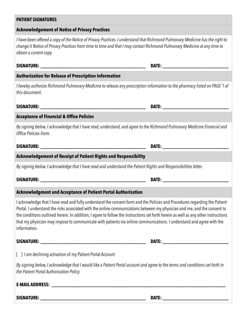| <b>Acknowledgement of Notice of Privacy Practices</b>                                                                                                                                                                                                                                                                                                                                                                                                                                                                                |  |
|--------------------------------------------------------------------------------------------------------------------------------------------------------------------------------------------------------------------------------------------------------------------------------------------------------------------------------------------------------------------------------------------------------------------------------------------------------------------------------------------------------------------------------------|--|
| I have been offered a copy of the Notice of Privacy Practices. I understand that Richmond Pulmonary Medicine has the right to<br>change it Notice of Privacy Practices from time to time and that I may contact Richmond Pulmonary Medicine at any time to<br>obtain a current copy.                                                                                                                                                                                                                                                 |  |
|                                                                                                                                                                                                                                                                                                                                                                                                                                                                                                                                      |  |
| <b>Authorization for Release of Prescription Information</b>                                                                                                                                                                                                                                                                                                                                                                                                                                                                         |  |
| I hereby authorize Richmond Pulmonary Medicine to release any prescription information to the pharmacy listed on PAGE 1 of<br>this document.                                                                                                                                                                                                                                                                                                                                                                                         |  |
|                                                                                                                                                                                                                                                                                                                                                                                                                                                                                                                                      |  |
| <b>Acceptance of Financial &amp; Office Policies</b>                                                                                                                                                                                                                                                                                                                                                                                                                                                                                 |  |
| By signing below, I acknowledge that I have read, understand, and agree to the Richmond Pulmonary Medicine Financial and<br>Office Policies Form.                                                                                                                                                                                                                                                                                                                                                                                    |  |
|                                                                                                                                                                                                                                                                                                                                                                                                                                                                                                                                      |  |
| <b>Acknowledgement of Receipt of Patient Rights and Responsibility</b>                                                                                                                                                                                                                                                                                                                                                                                                                                                               |  |
| By signing below, I acknowledge that I have read and understand the Patient Rights and Responsibilities letter.                                                                                                                                                                                                                                                                                                                                                                                                                      |  |
|                                                                                                                                                                                                                                                                                                                                                                                                                                                                                                                                      |  |
| Acknowledgment and Acceptance of Patient Portal Authorization                                                                                                                                                                                                                                                                                                                                                                                                                                                                        |  |
| I acknowledge that I have read and fully understand the consent form and the Policies and Procedures regarding the Patient<br>Portal. I understand the risks associated with the online communications between my physician and me, and the consent to<br>the conditions outlined herein. In addition, I agree to follow the instructions set forth herein as well as any other instructions<br>that my physician may impose to communicate with patients via online communications. I understand and agree with the<br>information. |  |
|                                                                                                                                                                                                                                                                                                                                                                                                                                                                                                                                      |  |
| [ ] I am declining activation of my Patient Portal Account                                                                                                                                                                                                                                                                                                                                                                                                                                                                           |  |
| By signing below, I acknowledge that I would like a Patient Portal account and agree to the terms and conditions set forth in<br>the Patient Portal Authorization Policy.                                                                                                                                                                                                                                                                                                                                                            |  |
|                                                                                                                                                                                                                                                                                                                                                                                                                                                                                                                                      |  |
|                                                                                                                                                                                                                                                                                                                                                                                                                                                                                                                                      |  |

## **PATIENT SIGNATURES**